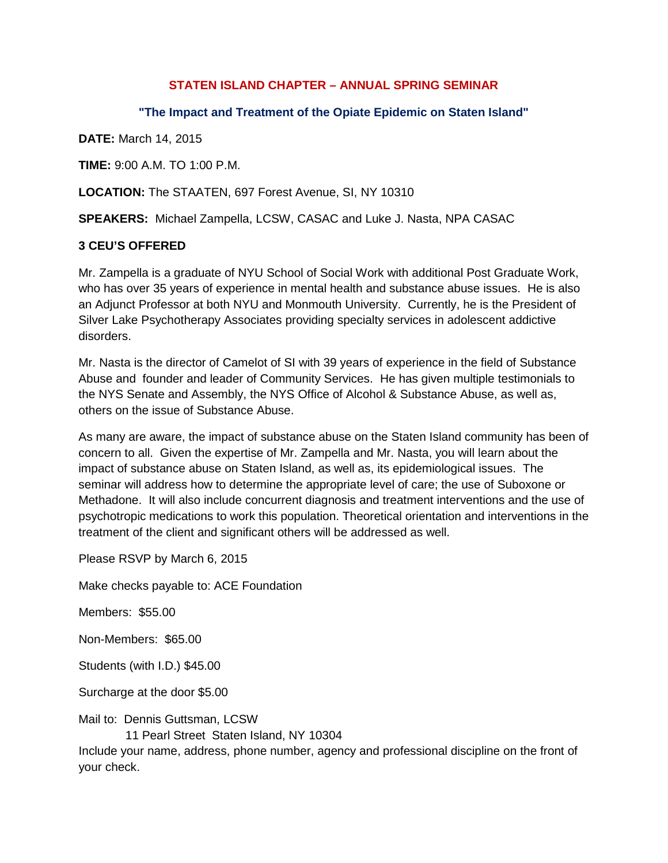## **STATEN ISLAND CHAPTER – ANNUAL SPRING SEMINAR**

## **"The Impact and Treatment of the Opiate Epidemic on Staten Island"**

**DATE:** March 14, 2015

**TIME:** 9:00 A.M. TO 1:00 P.M.

**LOCATION:** The STAATEN, 697 Forest Avenue, SI, NY 10310

**SPEAKERS:** Michael Zampella, LCSW, CASAC and Luke J. Nasta, NPA CASAC

## **3 CEU'S OFFERED**

Mr. Zampella is a graduate of NYU School of Social Work with additional Post Graduate Work, who has over 35 years of experience in mental health and substance abuse issues. He is also an Adjunct Professor at both NYU and Monmouth University. Currently, he is the President of Silver Lake Psychotherapy Associates providing specialty services in adolescent addictive disorders.

Mr. Nasta is the director of Camelot of SI with 39 years of experience in the field of Substance Abuse and founder and leader of Community Services. He has given multiple testimonials to the NYS Senate and Assembly, the NYS Office of Alcohol & Substance Abuse, as well as, others on the issue of Substance Abuse.

As many are aware, the impact of substance abuse on the Staten Island community has been of concern to all. Given the expertise of Mr. Zampella and Mr. Nasta, you will learn about the impact of substance abuse on Staten Island, as well as, its epidemiological issues. The seminar will address how to determine the appropriate level of care; the use of Suboxone or Methadone. It will also include concurrent diagnosis and treatment interventions and the use of psychotropic medications to work this population. Theoretical orientation and interventions in the treatment of the client and significant others will be addressed as well.

Please RSVP by March 6, 2015

Make checks payable to: ACE Foundation

Members: \$55.00

Non-Members: \$65.00

Students (with I.D.) \$45.00

Surcharge at the door \$5.00

Mail to: Dennis Guttsman, LCSW

11 Pearl Street Staten Island, NY 10304

Include your name, address, phone number, agency and professional discipline on the front of your check.